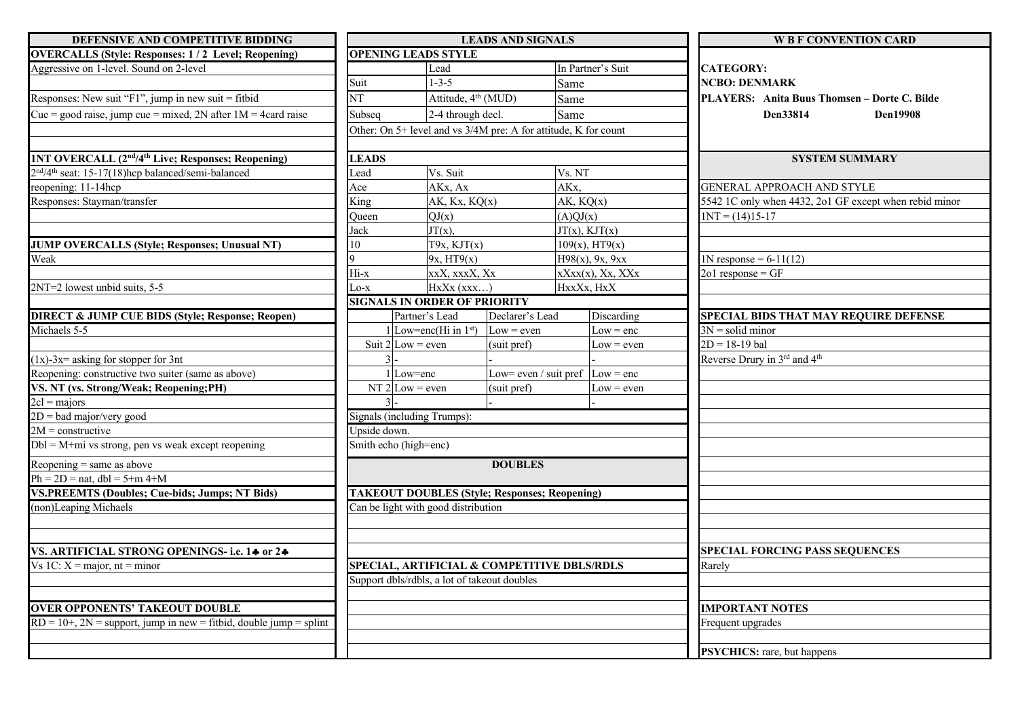| DEFENSIVE AND COMPETITIVE BIDDING                                              | <b>LEADS AND SIGNALS</b>                    |                                                                 |                       |                                | <b>WBF CONVENTION CARD</b>                             |
|--------------------------------------------------------------------------------|---------------------------------------------|-----------------------------------------------------------------|-----------------------|--------------------------------|--------------------------------------------------------|
| <b>OVERCALLS (Style: Responses: 1/2 Level; Reopening)</b>                      |                                             | <b>OPENING LEADS STYLE</b>                                      |                       |                                |                                                        |
| Aggressive on 1-level. Sound on 2-level                                        |                                             | Lead                                                            |                       | In Partner's Suit              | <b>CATEGORY:</b>                                       |
|                                                                                | Suit                                        | $1 - 3 - 5$                                                     |                       | Same                           | <b>NCBO: DENMARK</b>                                   |
| Responses: New suit "F1", jump in new suit = fitbid                            | $\overline{\text{NT}}$                      | Attitude, 4 <sup>th</sup> (MUD)                                 |                       | Same                           | PLAYERS: Anita Buus Thomsen - Dorte C. Bilde           |
| Cue = good raise, jump cue = mixed, 2N after $1M = 4$ card raise               | Subseq                                      | 2-4 through decl.                                               |                       | Same                           | Den33814<br><b>Den19908</b>                            |
|                                                                                |                                             | Other: On 5+ level and vs 3/4M pre: A for attitude, K for count |                       |                                |                                                        |
|                                                                                |                                             |                                                                 |                       |                                |                                                        |
| <b>1NT OVERCALL (2<sup>nd</sup>/4<sup>th</sup> Live; Responses; Reopening)</b> | <b>LEADS</b>                                |                                                                 |                       |                                | <b>SYSTEM SUMMARY</b>                                  |
| $2nd/4th$ seat: 15-17(18)hcp balanced/semi-balanced                            | Lead                                        | Vs. Suit                                                        |                       | Vs. NT                         |                                                        |
| reopening: 11-14hcp                                                            | Ace                                         | AKx, Ax                                                         |                       | AK <sub>x</sub> .              | <b>GENERAL APPROACH AND STYLE</b>                      |
| Responses: Stayman/transfer                                                    |                                             | King<br>AK, Kx, KQ(x)                                           |                       | AK, KQ(x)                      | 5542 1C only when 4432, 2o1 GF except when rebid minor |
|                                                                                | Oueen                                       | QJ(x)                                                           |                       | (A)QJ(x)                       | $1NT = (14)15-17$                                      |
|                                                                                | Jack                                        | $\overline{\text{JT}}(x)$ ,                                     |                       | $JT(x)$ , $KJT(x)$             |                                                        |
| <b>JUMP OVERCALLS (Style; Responses; Unusual NT)</b>                           | 10                                          | T9x, KJT(x)                                                     |                       | $109(x)$ , HT9(x)              |                                                        |
| Weak                                                                           |                                             | 9x, HT9(x)                                                      |                       | $H98(x)$ , 9x, 9xx             | $1N$ response = 6-11(12)                               |
|                                                                                | Hi-x                                        | xxX, xxxX, Xx                                                   |                       | $x$ X $xx(x)$ , X $x$ , X $Xx$ | $201$ response = GF                                    |
| 2NT=2 lowest unbid suits, 5-5                                                  | Lo-x                                        | $HxXx$ (xxx)                                                    |                       | HxxXx, HxX                     |                                                        |
|                                                                                |                                             | <b>SIGNALS IN ORDER OF PRIORITY</b>                             |                       |                                |                                                        |
| <b>DIRECT &amp; JUMP CUE BIDS (Style; Response; Reopen)</b>                    |                                             | Partner's Lead                                                  | Declarer's Lead       | Discarding                     | <b>SPECIAL BIDS THAT MAY REQUIRE DEFENSE</b>           |
| Michaels 5-5                                                                   |                                             | 1 Low=enc(Hi in $1st$ )                                         | $Low = even$          | $Low = enc$                    | $3N =$ solid minor                                     |
|                                                                                |                                             | Suit $2$ Low = even                                             | (suit pref)           | $Low = even$                   | $2D = 18 - 19$ bal                                     |
| $(1x)$ -3x= asking for stopper for 3nt                                         |                                             |                                                                 |                       |                                | Reverse Drury in 3rd and 4th                           |
| Reopening: constructive two suiter (same as above)                             |                                             | 1 Low=enc                                                       | Low= even / suit pref | $Low = enc$                    |                                                        |
| VS. NT (vs. Strong/Weak; Reopening;PH)                                         |                                             | NT $2$ Low = even                                               | (suit pref)           | $Low = even$                   |                                                        |
| $2cl = \frac{majors}{}$                                                        |                                             |                                                                 |                       |                                |                                                        |
| $2D = bad$ major/very good                                                     |                                             | Signals (including Trumps):                                     |                       |                                |                                                        |
| $2M =$ constructive                                                            | Upside down.                                |                                                                 |                       |                                |                                                        |
| $Dbl = M + mi$ vs strong, pen vs weak except reopening                         |                                             | Smith echo (high=enc)                                           |                       |                                |                                                        |
| Reopening $=$ same as above                                                    |                                             |                                                                 | <b>DOUBLES</b>        |                                |                                                        |
| $Ph = 2D = nat$ , dbl = 5+m 4+M                                                |                                             |                                                                 |                       |                                |                                                        |
| <b>VS.PREEMTS (Doubles; Cue-bids; Jumps; NT Bids)</b>                          |                                             | <b>TAKEOUT DOUBLES (Style; Responses; Reopening)</b>            |                       |                                |                                                        |
| (non)Leaping Michaels                                                          |                                             | Can be light with good distribution                             |                       |                                |                                                        |
|                                                                                |                                             |                                                                 |                       |                                |                                                        |
|                                                                                |                                             |                                                                 |                       |                                |                                                        |
| VS. ARTIFICIAL STRONG OPENINGS- i.e. 14 or 24                                  |                                             |                                                                 |                       |                                | <b>SPECIAL FORCING PASS SEQUENCES</b>                  |
| Vs 1C: $X = \text{major}, nt = \text{minor}$                                   | SPECIAL, ARTIFICIAL & COMPETITIVE DBLS/RDLS |                                                                 |                       |                                | Rarely                                                 |
|                                                                                |                                             | Support dbls/rdbls, a lot of takeout doubles                    |                       |                                |                                                        |
|                                                                                |                                             |                                                                 |                       |                                |                                                        |
| <b>OVER OPPONENTS' TAKEOUT DOUBLE</b>                                          |                                             |                                                                 |                       |                                | <b>IMPORTANT NOTES</b>                                 |
| $RD = 10+$ , $2N =$ support, jump in new = fitbid, double jump = splint        |                                             |                                                                 |                       |                                | Frequent upgrades                                      |
|                                                                                |                                             |                                                                 |                       |                                |                                                        |
|                                                                                |                                             |                                                                 |                       |                                | <b>PSYCHICS:</b> rare, but happens                     |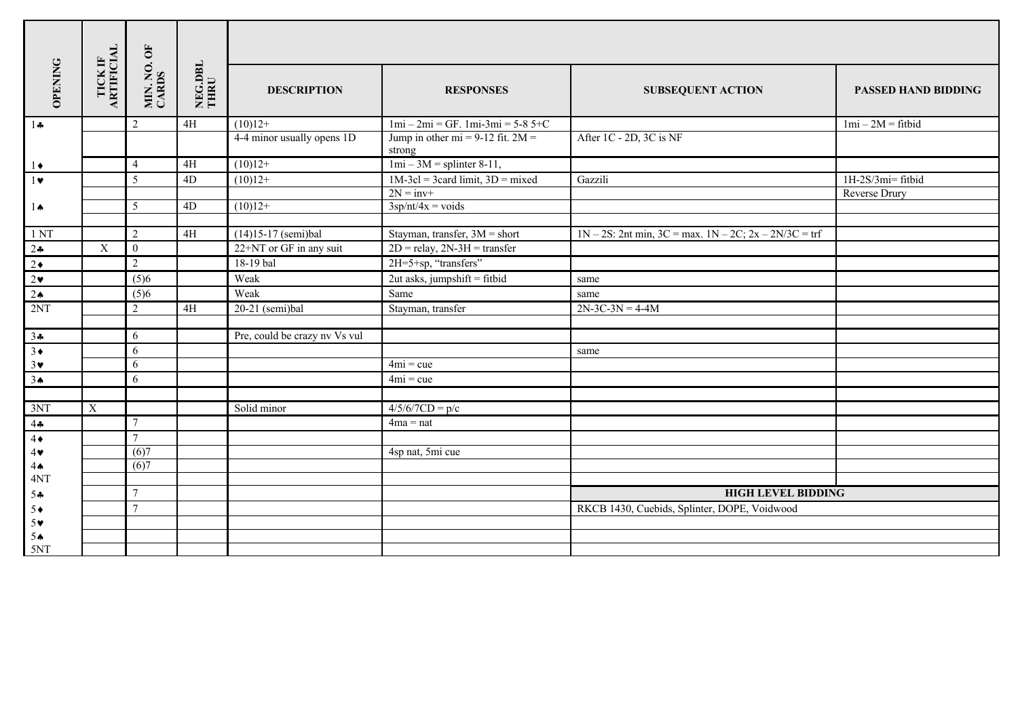| <b>OPENING</b>                          | TICK IF<br>ARTIFICIAL | MIN. NO. OF<br>CARDS | NEG.DBL<br>THRU | <b>DESCRIPTION</b>            | <b>RESPONSES</b>                                | <b>SUBSEQUENT ACTION</b>                                    | <b>PASSED HAND BIDDING</b> |
|-----------------------------------------|-----------------------|----------------------|-----------------|-------------------------------|-------------------------------------------------|-------------------------------------------------------------|----------------------------|
| $1 +$                                   |                       | $\mathbf{2}$         | $4H$            | $(10)12+$                     | $1mi - 2mi = GF. 1mi - 3mi = 5-85+C$            |                                                             | $1mi - 2M = fithid$        |
|                                         |                       |                      |                 | 4-4 minor usually opens 1D    | Jump in other mi = $9-12$ fit. $2M =$<br>strong | After 1C - 2D, 3C is NF                                     |                            |
| $1\bullet$                              |                       | $\overline{4}$       | 4H              | $(10)12+$                     | $1mi - 3M =$ splinter 8-11,                     |                                                             |                            |
| $1 \triangledown$                       |                       | 5                    | 4D              | $(10)12+$                     | $1M-3cl = 3card limit, 3D = mixed$              | Gazzili                                                     | 1H-2S/3mi= fitbid          |
|                                         |                       |                      |                 |                               | $2N = inv+$                                     |                                                             | Reverse Drury              |
| $1 \spadesuit$                          |                       | 5                    | 4D              | $(10)12+$                     | $3$ sp $\sqrt{\frac{nt}{4x}}$ = voids           |                                                             |                            |
| 1 <sub>NT</sub>                         |                       | 2                    | $4\mathrm{H}$   | $(14)15-17$ (semi)bal         | Stayman, transfer, $3M =$ short                 | $1N - 2S$ : 2nt min, 3C = max. $1N - 2C$ ; 2x - 2N/3C = trf |                            |
| 24                                      | $\mathbf X$           | $\mathbf{0}$         |                 | 22+NT or GF in any suit       | $2D =$ relay, $2N-3H =$ transfer                |                                                             |                            |
| $2 \bullet$                             |                       | $\overline{2}$       |                 | 18-19 bal                     | 2H=5+sp, "transfers"                            |                                                             |                            |
| $2\bullet$                              |                       | (5)6                 |                 | Weak                          | $2ut$ asks, jumpshift = fitbid                  | same                                                        |                            |
| $2 \triangle$                           |                       | (5)6                 |                 | Weak                          | Same                                            | same                                                        |                            |
| 2NT                                     |                       | $\overline{2}$       | 4H              | $20-21$ (semi)bal             | Stayman, transfer                               | $2N-3C-3N = 4-4M$                                           |                            |
|                                         |                       |                      |                 |                               |                                                 |                                                             |                            |
| $\frac{34}{3}$                          |                       | 6                    |                 | Pre, could be crazy nv Vs vul |                                                 |                                                             |                            |
|                                         |                       | 6                    |                 |                               |                                                 | same                                                        |                            |
| $3\vee$                                 |                       | 6                    |                 |                               | $4mi = cue$                                     |                                                             |                            |
| 3 <sub>•</sub>                          |                       | 6                    |                 |                               | $4mi = cue$                                     |                                                             |                            |
|                                         |                       |                      |                 |                               |                                                 |                                                             |                            |
| 3NT                                     | X                     |                      |                 | Solid minor                   | $4/5/6/7CD = p/c$                               |                                                             |                            |
| 44                                      |                       | $\tau$               |                 |                               | $4ma = nat$                                     |                                                             |                            |
| $4\bullet$                              |                       | $\overline{7}$       |                 |                               |                                                 |                                                             |                            |
| $4\blacktriangledown$<br>4 <sub>•</sub> |                       | (6)7<br>(6)7         |                 |                               | 4sp nat, 5mi cue                                |                                                             |                            |
| 4NT                                     |                       |                      |                 |                               |                                                 |                                                             |                            |
| 54                                      |                       | $\tau$               |                 |                               |                                                 | <b>HIGH LEVEL BIDDING</b>                                   |                            |
| $5+$                                    |                       | $\overline{7}$       |                 |                               |                                                 | RKCB 1430, Cuebids, Splinter, DOPE, Voidwood                |                            |
| $5*$                                    |                       |                      |                 |                               |                                                 |                                                             |                            |
| $5^{\circ}$                             |                       |                      |                 |                               |                                                 |                                                             |                            |
| 5NT                                     |                       |                      |                 |                               |                                                 |                                                             |                            |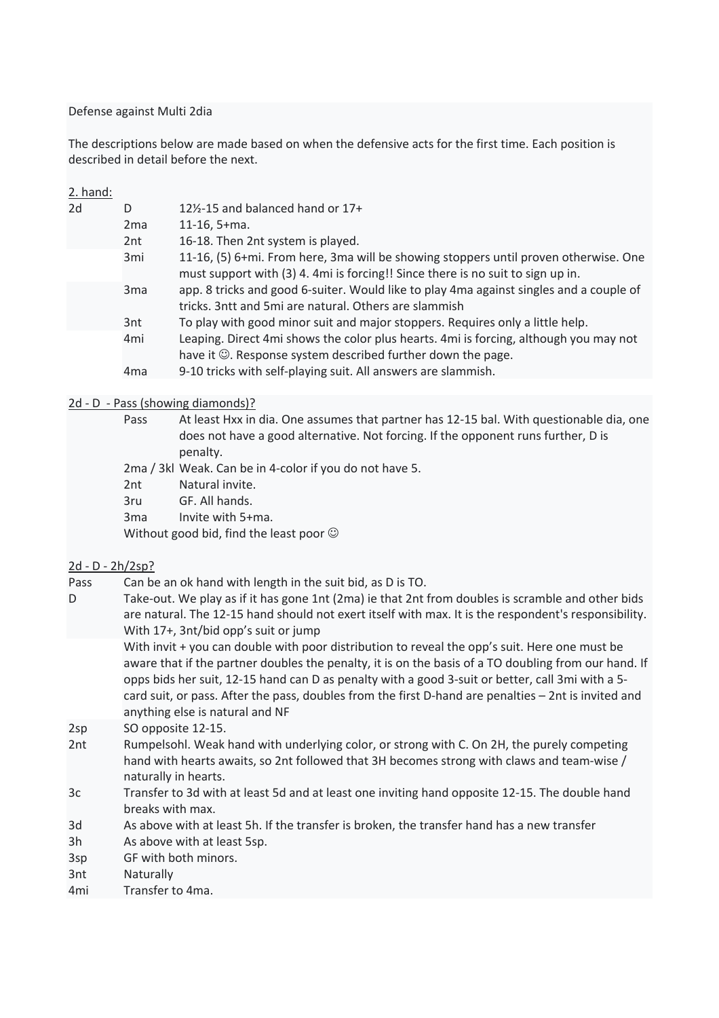Defense against Multi 2dia

The descriptions below are made based on when the defensive acts for the first time. Each position is described in detail before the next.

| 2. hand:        |                 |                                                                                         |
|-----------------|-----------------|-----------------------------------------------------------------------------------------|
| 2d              | D               | $12\frac{1}{2}$ -15 and balanced hand or 17+                                            |
|                 | 2 <sub>ma</sub> | $11-16, 5+m$ a.                                                                         |
|                 | 2nt             | 16-18. Then 2nt system is played.                                                       |
|                 | 3 <sub>mi</sub> | 11-16, (5) 6+mi. From here, 3ma will be showing stoppers until proven otherwise. One    |
|                 |                 | must support with (3) 4. 4mi is forcing!! Since there is no suit to sign up in.         |
| 3 <sub>ma</sub> |                 | app. 8 tricks and good 6-suiter. Would like to play 4ma against singles and a couple of |
|                 |                 | tricks. 3ntt and 5mi are natural. Others are slammish                                   |
|                 | 3nt             | To play with good minor suit and major stoppers. Requires only a little help.           |
|                 | 4 <sub>mi</sub> | Leaping. Direct 4mi shows the color plus hearts. 4mi is forcing, although you may not   |
|                 |                 | have it $\odot$ . Response system described further down the page.                      |
|                 | 4 <sub>ma</sub> | 9-10 tricks with self-playing suit. All answers are slammish.                           |
|                 |                 |                                                                                         |

#### 2d - D - Pass (showing diamonds)?

| Pass            | At least Hxx in dia. One assumes that partner has 12-15 bal. With questionable dia, one |
|-----------------|-----------------------------------------------------------------------------------------|
|                 | does not have a good alternative. Not forcing. If the opponent runs further, D is       |
|                 | penalty.                                                                                |
|                 | 2ma / 3kl Weak. Can be in 4-color if you do not have 5.                                 |
| 2nt             | Natural invite.                                                                         |
| 3ru             | GF. All hands.                                                                          |
| 3 <sub>ma</sub> | Invite with 5+ma.                                                                       |
|                 | Without good bid, find the least poor $\odot$                                           |
|                 |                                                                                         |

#### 2d - D - 2h/2sp?

- Pass Can be an ok hand with length in the suit bid, as D is TO.
- D Take-out. We play as if it has gone 1nt (2ma) ie that 2nt from doubles is scramble and other bids are natural. The 12-15 hand should not exert itself with max. It is the respondent's responsibility. With 17+, 3nt/bid opp's suit or jump

With invit + you can double with poor distribution to reveal the opp's suit. Here one must be aware that if the partner doubles the penalty, it is on the basis of a TO doubling from our hand. If opps bids her suit, 12-15 hand can D as penalty with a good 3-suit or better, call 3mi with a 5 card suit, or pass. After the pass, doubles from the first D-hand are penalties – 2nt is invited and anything else is natural and NF

2sp SO opposite 12-15.

- 2nt Rumpelsohl. Weak hand with underlying color, or strong with C. On 2H, the purely competing hand with hearts awaits, so 2nt followed that 3H becomes strong with claws and team-wise / naturally in hearts.
- 3c Transfer to 3d with at least 5d and at least one inviting hand opposite 12-15. The double hand breaks with max.
- 3d As above with at least 5h. If the transfer is broken, the transfer hand has a new transfer
- 3h As above with at least 5sp.
- 3sp GF with both minors.
- 3nt Naturally
- 4mi Transfer to 4ma.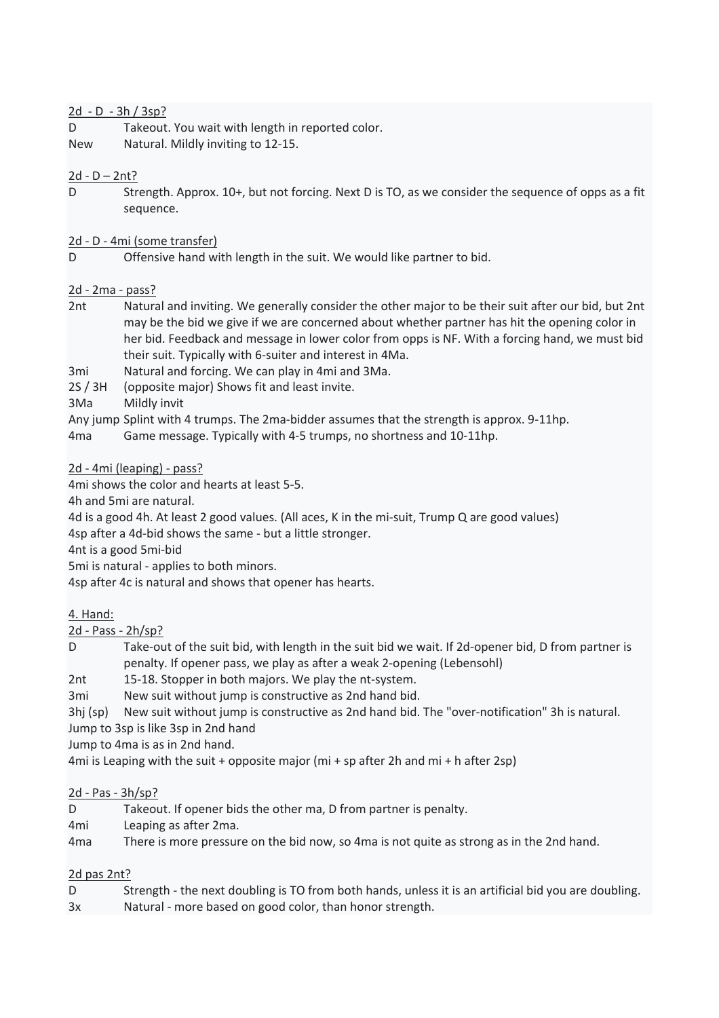#### 2d - D - 3h / 3sp?

- D Takeout. You wait with length in reported color.
- New Natural. Mildly inviting to 12-15.

# $2d - D - 2nt?$

- D Strength. Approx. 10+, but not forcing. Next D is TO, as we consider the sequence of opps as a fit sequence.
- 2d D 4mi (some transfer)
- D Offensive hand with length in the suit. We would like partner to bid.

## 2d - 2ma - pass?

- 2nt Natural and inviting. We generally consider the other major to be their suit after our bid, but 2nt may be the bid we give if we are concerned about whether partner has hit the opening color in her bid. Feedback and message in lower color from opps is NF. With a forcing hand, we must bid their suit. Typically with 6-suiter and interest in 4Ma.
- 3mi Natural and forcing. We can play in 4mi and 3Ma.
- 2S / 3H (opposite major) Shows fit and least invite.
- 3Ma Mildly invit
- Any jump Splint with 4 trumps. The 2ma-bidder assumes that the strength is approx. 9-11hp.
- 4ma Game message. Typically with 4-5 trumps, no shortness and 10-11hp.

#### 2d - 4mi (leaping) - pass?

4mi shows the color and hearts at least 5-5.

4h and 5mi are natural.

4d is a good 4h. At least 2 good values. (All aces, K in the mi-suit, Trump Q are good values)

4sp after a 4d-bid shows the same - but a little stronger.

4nt is a good 5mi-bid

5mi is natural - applies to both minors.

4sp after 4c is natural and shows that opener has hearts.

## 4. Hand:

2d - Pass - 2h/sp?

D Take-out of the suit bid, with length in the suit bid we wait. If 2d-opener bid, D from partner is penalty. If opener pass, we play as after a weak 2-opening (Lebensohl)

2nt 15-18. Stopper in both majors. We play the nt-system.

3mi New suit without jump is constructive as 2nd hand bid.

3hj (sp) New suit without jump is constructive as 2nd hand bid. The "over-notification" 3h is natural.

Jump to 3sp is like 3sp in 2nd hand

Jump to 4ma is as in 2nd hand.

4mi is Leaping with the suit + opposite major (mi + sp after 2h and mi + h after 2sp)

## 2d - Pas - 3h/sp?

- D Takeout. If opener bids the other ma, D from partner is penalty.
- 4mi Leaping as after 2ma.
- 4ma There is more pressure on the bid now, so 4ma is not quite as strong as in the 2nd hand.

## 2d pas 2nt?

D Strength - the next doubling is TO from both hands, unless it is an artificial bid you are doubling. 3x Natural - more based on good color, than honor strength.